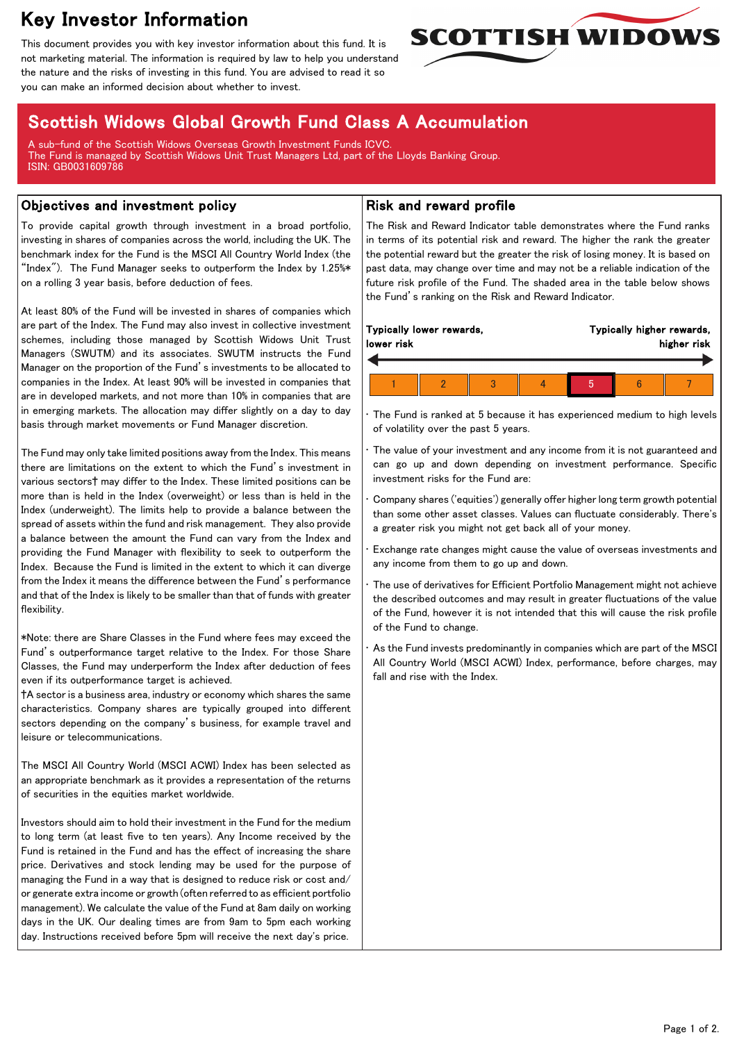# Key Investor Information

This document provides you with key investor information about this fund. It is not marketing material. The information is required by law to help you understand the nature and the risks of investing in this fund. You are advised to read it so you can make an informed decision about whether to invest.



## Scottish Widows Global Growth Fund Class A Accumulation

A sub-fund of the Scottish Widows Overseas Growth Investment Funds ICVC. The Fund is managed by Scottish Widows Unit Trust Managers Ltd, part of the Lloyds Banking Group. ISIN: GB0031609786

#### Objectives and investment policy

To provide capital growth through investment in a broad portfolio, investing in shares of companies across the world, including the UK. The benchmark index for the Fund is the MSCI All Country World Index (the "Index"). The Fund Manager seeks to outperform the Index by 1.25%\* on a rolling 3 year basis, before deduction of fees.

At least 80% of the Fund will be invested in shares of companies which are part of the Index. The Fund may also invest in collective investment schemes, including those managed by Scottish Widows Unit Trust Managers (SWUTM) and its associates. SWUTM instructs the Fund Manager on the proportion of the Fund's investments to be allocated to companies in the Index. At least 90% will be invested in companies that are in developed markets, and not more than 10% in companies that are in emerging markets. The allocation may differ slightly on a day to day basis through market movements or Fund Manager discretion.

The Fund may only take limited positions away from the Index. This means there are limitations on the extent to which the Fund's investment in various sectors† may differ to the Index. These limited positions can be more than is held in the Index (overweight) or less than is held in the Index (underweight). The limits help to provide a balance between the spread of assets within the fund and risk management. They also provide a balance between the amount the Fund can vary from the Index and providing the Fund Manager with flexibility to seek to outperform the Index. Because the Fund is limited in the extent to which it can diverge from the Index it means the difference between the Fund's performance and that of the Index is likely to be smaller than that of funds with greater flexibility.

\*Note: there are Share Classes in the Fund where fees may exceed the Fund's outperformance target relative to the Index. For those Share Classes, the Fund may underperform the Index after deduction of fees even if its outperformance target is achieved.

†A sector is a business area, industry or economy which shares the same characteristics. Company shares are typically grouped into different sectors depending on the company's business, for example travel and leisure or telecommunications.

The MSCI All Country World (MSCI ACWI) Index has been selected as an appropriate benchmark as it provides a representation of the returns of securities in the equities market worldwide.

Investors should aim to hold their investment in the Fund for the medium to long term (at least five to ten years). Any Income received by the Fund is retained in the Fund and has the effect of increasing the share price. Derivatives and stock lending may be used for the purpose of managing the Fund in a way that is designed to reduce risk or cost and/ or generate extra income or growth (often referred to as efficient portfolio management). We calculate the value of the Fund at 8am daily on working days in the UK. Our dealing times are from 9am to 5pm each working day. Instructions received before 5pm will receive the next day's price.

### Risk and reward profile

The Risk and Reward Indicator table demonstrates where the Fund ranks in terms of its potential risk and reward. The higher the rank the greater the potential reward but the greater the risk of losing money. It is based on past data, may change over time and may not be a reliable indication of the future risk profile of the Fund. The shaded area in the table below shows the Fund's ranking on the Risk and Reward Indicator.

| Typically lower rewards,<br>lower risk |  |  |  | Typically higher rewards,<br>higher risk |  |  |  |
|----------------------------------------|--|--|--|------------------------------------------|--|--|--|
|                                        |  |  |  |                                          |  |  |  |

The Fund is ranked at 5 because it has experienced medium to high levels of volatility over the past 5 years.

The value of your investment and any income from it is not guaranteed and can go up and down depending on investment performance. Specific investment risks for the Fund are:

• Company shares ('equities') generally offer higher long term growth potential than some other asset classes. Values can fluctuate considerably. There's a greater risk you might not get back all of your money.

• Exchange rate changes might cause the value of overseas investments and any income from them to go up and down.

• The use of derivatives for Efficient Portfolio Management might not achieve the described outcomes and may result in greater fluctuations of the value of the Fund, however it is not intended that this will cause the risk profile of the Fund to change.

As the Fund invests predominantly in companies which are part of the MSCI All Country World (MSCI ACWI) Index, performance, before charges, may fall and rise with the Index.